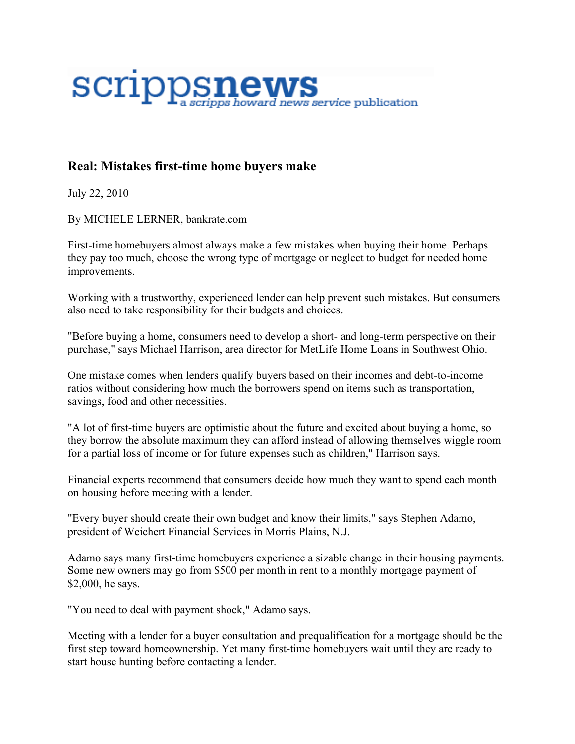

## **Real: Mistakes first-time home buyers make**

July 22, 2010

By MICHELE LERNER, bankrate.com

First-time homebuyers almost always make a few mistakes when buying their home. Perhaps they pay too much, choose the wrong type of mortgage or neglect to budget for needed home improvements.

Working with a trustworthy, experienced lender can help prevent such mistakes. But consumers also need to take responsibility for their budgets and choices.

"Before buying a home, consumers need to develop a short- and long-term perspective on their purchase," says Michael Harrison, area director for MetLife Home Loans in Southwest Ohio.

One mistake comes when lenders qualify buyers based on their incomes and debt-to-income ratios without considering how much the borrowers spend on items such as transportation, savings, food and other necessities.

"A lot of first-time buyers are optimistic about the future and excited about buying a home, so they borrow the absolute maximum they can afford instead of allowing themselves wiggle room for a partial loss of income or for future expenses such as children," Harrison says.

Financial experts recommend that consumers decide how much they want to spend each month on housing before meeting with a lender.

"Every buyer should create their own budget and know their limits," says Stephen Adamo, president of Weichert Financial Services in Morris Plains, N.J.

Adamo says many first-time homebuyers experience a sizable change in their housing payments. Some new owners may go from \$500 per month in rent to a monthly mortgage payment of \$2,000, he says.

"You need to deal with payment shock," Adamo says.

Meeting with a lender for a buyer consultation and prequalification for a mortgage should be the first step toward homeownership. Yet many first-time homebuyers wait until they are ready to start house hunting before contacting a lender.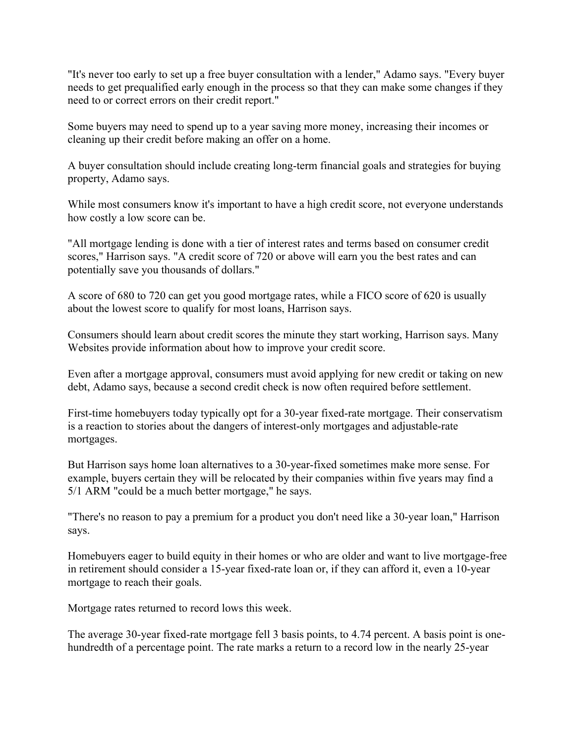"It's never too early to set up a free buyer consultation with a lender," Adamo says. "Every buyer needs to get prequalified early enough in the process so that they can make some changes if they need to or correct errors on their credit report."

Some buyers may need to spend up to a year saving more money, increasing their incomes or cleaning up their credit before making an offer on a home.

A buyer consultation should include creating long-term financial goals and strategies for buying property, Adamo says.

While most consumers know it's important to have a high credit score, not everyone understands how costly a low score can be.

"All mortgage lending is done with a tier of interest rates and terms based on consumer credit scores," Harrison says. "A credit score of 720 or above will earn you the best rates and can potentially save you thousands of dollars."

A score of 680 to 720 can get you good mortgage rates, while a FICO score of 620 is usually about the lowest score to qualify for most loans, Harrison says.

Consumers should learn about credit scores the minute they start working, Harrison says. Many Websites provide information about how to improve your credit score.

Even after a mortgage approval, consumers must avoid applying for new credit or taking on new debt, Adamo says, because a second credit check is now often required before settlement.

First-time homebuyers today typically opt for a 30-year fixed-rate mortgage. Their conservatism is a reaction to stories about the dangers of interest-only mortgages and adjustable-rate mortgages.

But Harrison says home loan alternatives to a 30-year-fixed sometimes make more sense. For example, buyers certain they will be relocated by their companies within five years may find a 5/1 ARM "could be a much better mortgage," he says.

"There's no reason to pay a premium for a product you don't need like a 30-year loan," Harrison says.

Homebuyers eager to build equity in their homes or who are older and want to live mortgage-free in retirement should consider a 15-year fixed-rate loan or, if they can afford it, even a 10-year mortgage to reach their goals.

Mortgage rates returned to record lows this week.

The average 30-year fixed-rate mortgage fell 3 basis points, to 4.74 percent. A basis point is onehundredth of a percentage point. The rate marks a return to a record low in the nearly 25-year